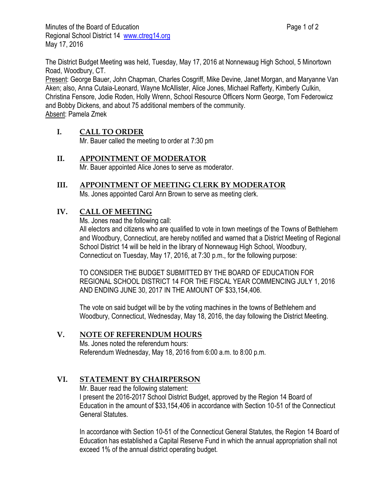The District Budget Meeting was held, Tuesday, May 17, 2016 at Nonnewaug High School, 5 Minortown Road, Woodbury, CT.

Present: George Bauer, John Chapman, Charles Cosgriff, Mike Devine, Janet Morgan, and Maryanne Van Aken; also, Anna Cutaia-Leonard, Wayne McAllister, Alice Jones, Michael Rafferty, Kimberly Culkin, Christina Fensore, Jodie Roden, Holly Wrenn, School Resource Officers Norm George, Tom Federowicz and Bobby Dickens, and about 75 additional members of the community. Absent: Pamela Zmek

## **I. CALL TO ORDER**

Mr. Bauer called the meeting to order at 7:30 pm

## **II. APPOINTMENT OF MODERATOR**

Mr. Bauer appointed Alice Jones to serve as moderator.

# **III. APPOINTMENT OF MEETING CLERK BY MODERATOR**

Ms. Jones appointed Carol Ann Brown to serve as meeting clerk.

## **IV. CALL OF MEETING**

Ms. Jones read the following call:

All electors and citizens who are qualified to vote in town meetings of the Towns of Bethlehem and Woodbury, Connecticut, are hereby notified and warned that a District Meeting of Regional School District 14 will be held in the library of Nonnewaug High School, Woodbury, Connecticut on Tuesday, May 17, 2016, at 7:30 p.m., for the following purpose:

TO CONSIDER THE BUDGET SUBMITTED BY THE BOARD OF EDUCATION FOR REGIONAL SCHOOL DISTRICT 14 FOR THE FISCAL YEAR COMMENCING JULY 1, 2016 AND ENDING JUNE 30, 2017 IN THE AMOUNT OF \$33,154,406.

The vote on said budget will be by the voting machines in the towns of Bethlehem and Woodbury, Connecticut, Wednesday, May 18, 2016, the day following the District Meeting.

## **V. NOTE OF REFERENDUM HOURS**

Ms. Jones noted the referendum hours: Referendum Wednesday, May 18, 2016 from 6:00 a.m. to 8:00 p.m.

## **VI. STATEMENT BY CHAIRPERSON**

Mr. Bauer read the following statement: I present the 2016-2017 School District Budget, approved by the Region 14 Board of Education in the amount of \$33,154,406 in accordance with Section 10-51 of the Connecticut General Statutes.

In accordance with Section 10-51 of the Connecticut General Statutes, the Region 14 Board of Education has established a Capital Reserve Fund in which the annual appropriation shall not exceed 1% of the annual district operating budget.